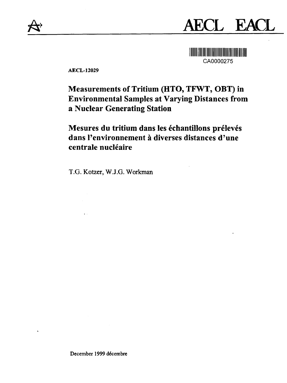





AECL-12029

 $\ddot{\phantom{a}}$  .

**Measurements of Tritium (HTO, TFWT, OBT) in Environmental Samples at Varying Distances from a Nuclear Generating Station**

**Mesures du tritium dans les echantillons preleves dans l'environnement a diverses distances d'une** centrale nucléaire

T.G. Kotzer, W.J.G. Workman

December 1999 décembre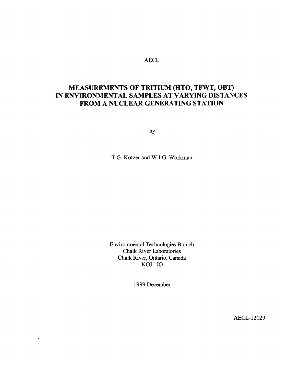## AECL

# MEASUREMENTS OF TRITIUM (HTO, TFWT, OBT) IN ENVIRONMENTAL SAMPLES AT VARYING DISTANCES FROM A NUCLEAR GENERATING STATION

by

T.G. Kotzer and W.J.G. Workman

Environmental Technologies Branch Chalk River Laboratories Chalk River, Ontario, Canada KOJ 1JO

1999 December

 $\mathbf{r}$ 

 $\ddot{\phantom{a}}$ 

AECL-12029

 $\ddot{\phantom{0}}$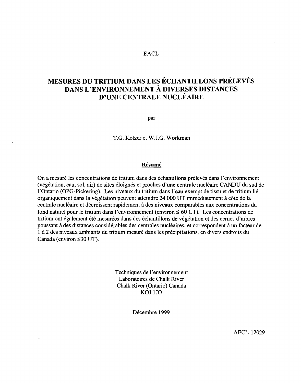## EACL

# MESURES DU TRITIUM DANS LES ECHANTILLONS PRELEVES DANS L'ENVIRONNEMENT A DIVERSES DISTANCES D'UNE CENTRALE NUCLÉAIRE

par

T.G. Kotzer et W.J.G. Workman

#### Résumé

On a mesuré les concentrations de tritium dans des échantillons prélevés dans l'environnement (végétation, eau, sol, air) de sites éloignés et proches d'une centrale nucléaire CANDU du sud de l'Ontario (OPG-Pickering). Les niveaux du tritium dans l'eau exempt de tissu et de tritium lie organiquement dans la végétation peuvent atteindre 24 000 UT immédiatement à côté de la centrale nucléaire et décroissent rapidement à des niveaux comparables aux concentrations du fond naturel pour le tritium dans l'environnement (environ  $\leq 60$  UT). Les concentrations de tritium ont également été mesurées dans des échantillons de végétation et des cernes d'arbres poussant à des distances considérables des centrales nucléaires, et correspondent à un facteur de 1 a 2 des niveaux ambiants du tritium mesure dans les precipitations, en divers endroits du Canada (environ  $\leq 30$  UT).

> Techniques de l'environnement Laboratoires de Chalk River Chalk River (Ontario) Canada KOJ 1JO

> > Décembre 1999

AECL-12029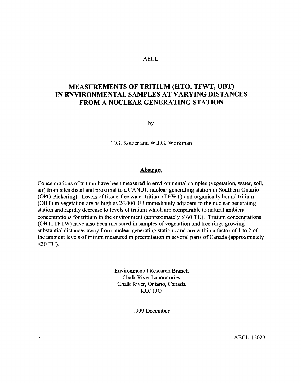#### AECL

# MEASUREMENTS OF TRITIUM (HTO, TFWT, OBT) IN ENVIRONMENTAL SAMPLES AT VARYING DISTANCES FROM A NUCLEAR GENERATING STATION

by

T.G. Kotzer and W.J.G. Workman

#### **Abstract**

Concentrations of tritium have been measured in environmental samples (vegetation, water, soil, air) from sites distal and proximal to a CANDU nuclear generating station in Southern Ontario (OPG-Pickering). Levels of tissue-free water tritium (TFWT) and organically bound tritium (OBT) in vegetation are as high as 24,000 TU immediately adjacent to the nuclear generating station and rapidly decrease to levels of tritium which are comparable to natural ambient concentrations for tritium in the environment (approximately  $\leq 60$  TU). Tritium concentrations (OBT, TFTW) have also been measured in samples of vegetation and tree rings growing substantial distances away from nuclear generating stations and are within a factor of 1 to 2 of the ambient levels of tritium measured in precipitation in several parts of Canada (approximately  $\leq$ 30 TU).

> Environmental Research Branch Chalk River Laboratories Chalk River, Ontario, Canada KOJ 1JO

> > 1999 December

AECL-12029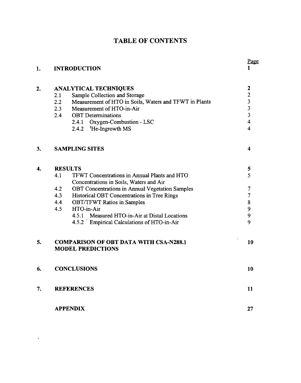# TABLE OF CONTENTS

| 1. | <b>INTRODUCTION</b>                                                                                                                                                                                                                                                                                                                                                                                     | Page                                                                      |
|----|---------------------------------------------------------------------------------------------------------------------------------------------------------------------------------------------------------------------------------------------------------------------------------------------------------------------------------------------------------------------------------------------------------|---------------------------------------------------------------------------|
| 2. | <b>ANALYTICAL TECHNIQUES</b><br>Sample Collection and Storage<br>2.1<br>2.2<br>Measurement of HTO in Soils, Waters and TFWT in Plants<br>Measurement of HTO-in-Air<br>2.3                                                                                                                                                                                                                               | 2<br>$\overline{2}$<br>$\overline{\mathbf{3}}$<br>$\overline{\mathbf{3}}$ |
|    | 2.4<br><b>OBT</b> Determinations<br>2.4.1 Oxygen-Combustion - LSC<br><sup>3</sup> He-Ingrowth MS<br>2.4.2                                                                                                                                                                                                                                                                                               | $\overline{3}$<br>$\overline{\mathbf{4}}$<br>$\overline{\mathbf{4}}$      |
| 3. | <b>SAMPLING SITES</b>                                                                                                                                                                                                                                                                                                                                                                                   | 4                                                                         |
| 4. | <b>RESULTS</b><br>4.1<br>TFWT Concentrations in Annual Plants and HTO<br>Concentrations in Soils, Waters and Air<br>4.2<br><b>OBT Concentrations in Annual Vegetation Samples</b><br>4.3<br>Historical OBT Concentrations in Tree Rings<br>4.4<br><b>OBT/TFWT Ratios in Samples</b><br>HTO-in-Air<br>4.5<br>4.5.1 Measured HTO-in-Air at Distal Locations<br>4.5.2 Empirical Calculations of HTO-in-Air | 5<br>5<br>7<br>$\overline{7}$<br>8<br>9<br>9<br>9                         |
| 5. | <b>COMPARISON OF OBT DATA WITH CSA-N288.1</b><br><b>MODEL PREDICTIONS</b>                                                                                                                                                                                                                                                                                                                               | 10                                                                        |
| 6. | <b>CONCLUSIONS</b>                                                                                                                                                                                                                                                                                                                                                                                      | 10                                                                        |
| 7. | <b>REFERENCES</b>                                                                                                                                                                                                                                                                                                                                                                                       | 11                                                                        |
|    | <b>APPENDIX</b>                                                                                                                                                                                                                                                                                                                                                                                         | 27                                                                        |

 $\Delta \sim 10^4$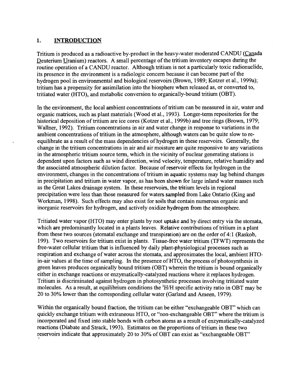### 1. INTRODUCTION

Tritium is produced as a radioactive by-product in the heavy-water moderated CANDU (Canada Deuterium Uranium) reactors. A small percentage of the tritium inventory escapes during the routine operation of a CANDU reactor. Although tritium is not a particularly toxic radionuclide, its presence in the environment is a radiologic concern because it can become part of the hydrogen pool in environmental and biological reservoirs (Brown, 1989; Kotzer et al., 1999a); tritium has a propensity for assimilation into the biosphere when released as, or converted to, tritiated water (HTO), and metabolic conversion to organically-bound tritium (OBT).

In the environment, the local ambient concentrations of tritium can be measured in air, water and organic matrices, such as plant materials (Wood et al., 1993). Longer-term repositories for the historical deposition of tritium are ice cores (Kotzer et al., 1999b) and tree rings (Brown, 1979; Wallner, 1992). Tritium concentrations in air and water change in response to variations in the ambient concentrations of tritium in the atmosphere, although waters can be quite slow to reequilibrate as a result of the mass dependencies of hydrogen in these reservoirs. Generally, the change in the tritium concentrations in air and air moisture are quite responsive to any variations in the atmospheric tritium source term, which in the vicinity of nuclear generating stations is dependent upon factors such as wind direction, wind velocity, temperature, relative humidity and the associated atmospheric dilution factor. Because of reservoir effects for hydrogen in the environment, changes in the concentrations of tritium in aquatic systems may lag behind changes in precipitation and tritium in water vapor, as has been shown for large inland water masses such as the Great Lakes drainage system. In these reservoirs, the tritium levels in regional precipitation were less than those measured for waters sampled from Lake Ontario (King and Workman, 1998). Such effects may also exist for soils that contain numerous organic and inorganic reservoirs for hydrogen, and actively oxidize hydrogen from the atmosphere.

Tritiated water vapor (HTO) may enter plants by root uptake and by direct entry via the stomata, which are predominantly located in a plants leaves. Relative contributions of tritium in a plant from these two sources (stomatal exchange and transpiration) are on the order of 4:1 (Raskob, 199). Two reservoirs for tritium exist in plants. Tissue-free water tritium (TFWT) represents the free-water cellular tritium that is influenced by daily plant-physiological processes such as respiration and exchange of water across the stomata, and approximates the local, ambient HTOin-air values at the time of sampling. In the presence of HTO, the process of photosynthesis in green leaves produces organically bound tritium (OBT) wherein the tritium is bound organically either in exchange reactions or enzymatically-catalyzed reactions where it replaces hydrogen. Tritium is discriminated against hydrogen in photosynthetic processes involving tritiated water molecules. As a result, at equilibrium conditions the <sup>3</sup>H/H specific activity ratio in OBT may be 20 to 30% lower than the corresponding cellular water (Garland and Ameen, 1979).

Within the organically bound fraction, the tritium can be either "exchangeable OBT" which can quickly exchange tritium with extraneous HTO, or "non-exchangeable OBT" where the tritium is incorporated and fixed into stable bonds with carbon atoms as a result of enzymatically-catalyzed reactions (Diabate and Strack, 1993). Estimates on the proportions of tritium in these two reservoirs indicate that approximately 20 to 30% of OBT can exist as "exchangeable OBT"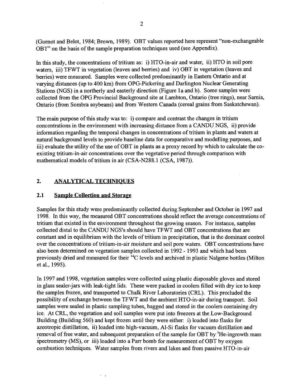(Guenot and Belot, 1984; Brown, 1989). OBT values reported here represent "non-exchangeable OBT" on the basis of the sample preparation techniques used (see Appendix).

In this study, the concentrations of tritium as: i) HTO-in-air and water, ii) HTO in soil pore waters, iii) TFWT in vegetation (leaves and berries) and iv) OBT in vegetation (leaves and berries) were measured. Samples were collected predominantly in Eastern Ontario and at varying distances (up to 400 km) from OPG-Pickering and Darlington Nuclear Generating Stations (NGS) in a northerly and easterly direction (Figure la and b). Some samples were collected from the OPG Provincial Background site at Lambton, Ontario (tree rings), near Sarnia, Ontario (from Sombra soybeans) and from Western Canada (cereal grains from Saskatchewan).

The main purpose of this study was to: i) compare and contrast the changes in tritium concentrations in the environment with increasing distance from a CANDU NGS, ii) provide information regarding the temporal changes in concentrations of tritium in plants and waters at natural background levels to provide baseline data for comparative and modelling purposes, and iii) evaluate the utility of the use of OBT in plants as a proxy record by which to calculate the coexisting tritium-in-air concentrations over the vegetative period through comparison with mathematical models of tritium in air (CSA-N288.1 (CSA, 1987)).

# **2. ANALYTICAL TECHNIQUES**

## **2.1 Sample Collection and Storage**

 $\sim$   $^{-1}$ 

Samples for this study were predominantly collected during September and October in 1997 and 1998. In this way, the measured OBT concentrations should reflect the average concentrations of tritium that existed in the environment throughout the growing season. For instance, samples collected distal to the CANDU NGS's should have TFWT and OBT concentrations that are constant and in equilibrium with the levels of tritium in precipitation, that is the dominant control over the concentrations of tritium-in-air moisture and soil pore waters. OBT concentrations have also been determined on vegetation samples collected in 1992 - 1993 and which had been previously dried and measured for their <sup>14</sup>C levels and archived in plastic Nalgene bottles (Milton etal., 1995).

In 1997 and 1998, vegetation samples were collected using plastic disposable gloves and stored in glass sealer-jars with leak-tight lids. These were packed in coolers filled with dry ice to keep the samples frozen, and transported to Chalk River Laboratories (CRL). This precluded the possibility of exchange between the TFWT and the ambient HTO-in-air during transport. Soil samples were sealed in plastic sampling tubes, bagged and stored in the coolers containing dry ice. At CRL, the vegetation and soil samples were put into freezers at the Low-Background Building (Building 560) and kept frozen until they were either: i) loaded into flasks for azeotropic distillation, ii) loaded into high-vacuum, Al-Si flasks for vacuum distillation and removal of free water, and subsequent preparation of the sample for OBT by <sup>3</sup>He-ingrowth mass spectrometry (MS), or iii) loaded into a Parr bomb for measurement of OBT by oxygen combustion techniques. Water samples from rivers and lakes and from passive HTO-in-air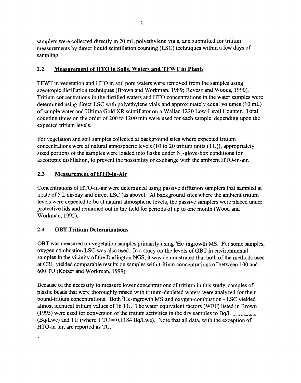samplers were collected directly in 20 mL polyethylene vials, and submitted for tritium measurements by direct liquid scintillation counting (LSC) techniques within a few days of sampling.

# **2.2 Measurement of HTO in Soils. Waters and TFWT in Plants**

TFWT in vegetation and HTO in soil pore waters were removed from the samples using azeotropic distillation techniques (Brown and Workman, 1989; Revesz and Woods, 1990). Tritium concentrations in the distilled waters and HTO concentrations in the water samples were determined using direct LSC with polyethylene vials and approximately equal volumes (10 mL) of sample water and Ultima Gold XR scintillator on a Wallac 1220 Low-Level Counter. Total counting times on the order of 200 to 1200 min were used for each sample, depending upon the expected tritium levels.

For vegetation and soil samples collected at background sites where expected tritium concentrations were at natural atmospheric levels (10 to 20 tritium units (TU)), appropriately sized portions of the samples were loaded into flasks under  $N_{2}$ -glove-box conditions for azeotropic distillation, to prevent the possibility of exchange with the ambient HTO-in-air.

# **2.3 Measurement of HTO-in-Air**

Concentrations of HTO-in-air were determined using passive diffusion samplers that sampled at a rate of 5 L air/day and direct LSC (as above). At background sites where the ambient tritium levels were expected to be at natural atmospheric levels, the passive samplers were placed under protective lids and remained out in the field for periods of up to one month (Wood and Workman, 1992).

### **2.4 OBT Tritium Determinations**

OBT was measured on vegetation samples primarily using <sup>3</sup>He-ingrowth MS. For some samples, oxygen combustion LSC was also used. In a study on the levels of OBT in environmental samples in the vicinity of the Darlington NGS, it was demonstrated that both of the methods used at CRL yielded comparable results on samples with tritium concentrations of between 100 and 600 TU (Kotzer and Workman, 1999).

Because of the necessity to measure lower concentrations of tritium in this study, samples of plastic beads that were thoroughly rinsed with tritium-depleted waters were analyzed for their bound-tritium concentrations. Both <sup>3</sup>He-ingrowth MS and oxygen-combustion - LSC yielded almost identical tritium values of 16 TU. The water equivalent factors (WEF) listed in Brown (1995) were used for conversion of the tritium activities in the dry samples to Bq/L water equivalents (Bq/Lwe) and TU (where 1 TU =  $0.1184$  Bq/Lwe). Note that all data, with the exception of HTO-in-air, are reported as TU.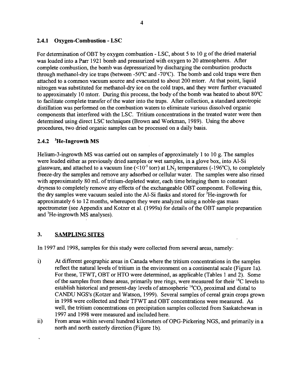#### **2.4.1** Oxygen-Combustion - LSC

For determination of OBT by oxygen combustion - LSC, about 5 to 10 g of the dried material was loaded into a Parr 1921 bomb and pressurized with oxygen to 20 atmospheres. After complete combustion, the bomb was depressurized by discharging the combustion products through methanol-dry ice traps (between -50°C and -70°C). The bomb and cold traps were then attached to a common vacuum source and evacuated to about 200 mtorr. At that point, liquid nitrogen was substituted for methanol-dry ice on the cold traps, and they were further evacuated to approximately 10 mtorr. During this process, the body of the bomb was heated to about 80°C to facilitate complete transfer of the water into the traps. After collection, a standard azeotropic distillation was performed on the combustion waters to eliminate various dissolved organic components that interfered with the LSC. Tritium concentrations in the treated water were then determined using direct LSC techniques (Brown and Workman, 1989). Using the above procedures, two dried organic samples can be processed on a daily basis.

#### **2.4.2 <sup>3</sup>He-Ingrowth MS**

Helium-3-ingrowth MS was carried out on samples of approximately 1 to 10 g. The samples were loaded either as previously dried samples or wet samples, in a glove box, into Al-Si glassware, and attached to a vacuum line (<10<sup>-5</sup> torr) at LN<sub>2</sub> temperatures (-196°C), to completely freeze-dry the samples and remove any adsorbed or cellular water. The samples were also rinsed with approximately 80 mL of tritium-depleted water, each time bringing them to constant dryness to completely remove any effects of the exchangeable OBT component. Following this, the dry samples were vacuum sealed into the Al-Si flasks and stored for <sup>3</sup>He-ingrowth for approximately 6 to 12 months, whereupon they were analyzed using a noble-gas mass spectrometer (see Appendix and Kotzer et al. (1999a) for details of the OBT sample preparation and <sup>3</sup>He-ingrowth MS analyses).

### 3. SAMPLING SITES

In 1997 and 1998, samples for this study were collected from several areas, namely:

- i) At different geographic areas in Canada where the tritium concentrations in the samples reflect the natural levels of tritium in the environment on a continental scale (Figure la). For these, TFWT, OBT or HTO were determined, as applicable (Tables 1 and 2). Some of the samples from these areas, primarily tree rings, were measured for their <sup>14</sup>C levels to establish historical and present-day levels of atmospheric  $^{14}CO_2$  proximal and distal to CANDU NGS's (Kotzer and Watson, 1999). Several samples of cereal grain crops grown in 1998 were collected and their TFWT and OBT concentrations were measured. As well, the tritium concentrations on precipitation samples collected from Saskatchewan in 1997 and 1998 were measured and included here.
- ii) From areas within several hundred kilometers of OPG-Pickering NGS, and primarily in a north and north easterly direction (Figure lb).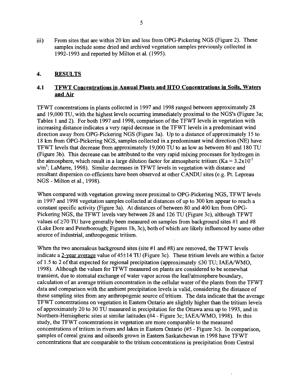iii) From sites that are within 20 km and less from OPG-Pickering NGS (Figure 2). These samples include some dried and archived vegetation samples previously collected in 1992-1993 and reported by Milton et al. (1995).

#### **4. RESULTS**

#### **4.1 TFWT Concentrations in Annual Plants and HTO Concentrations in Soils. Waters and Air**

TFWT concentrations in plants collected in 1997 and 1998 ranged between approximately 28 and 19,000 TU, with the highest levels occurring immediately proximal to the NGS's (Figure 3a; Tables 1 and 2). For both 1997 and 1998, comparison of the TFWT levels in vegetation with increasing distance indicates a very rapid decrease in the TFWT levels in a predominant wind direction away from OPG-Pickering NGS (Figure 3a). Up to a distance of approximately 15 to 18 km from OPG-Pickering NGS, samples collected in a predominant wind direction (NE) have TFWT levels that decrease from approximately 19,000 TU to as low as between 80 and 180 TU (Figure 3b). This decrease can be attributed to the very rapid mixing processes for hydrogen in the atmosphere, which result in a large dilution factor for atmospheric tritium (Ka =  $3.2 \times 10^{-7}$ ) s/m<sup>3</sup>; LaMarre, 1998). Similar decreases in TFWT levels in vegetation with distance and resultant dispersion co-efficients have been observed at other CANDU sites (e.g. Pt. Lepreau NGS - Milton et al., 1998).

When compared with vegetation growing more proximal to OPG-Pickering NGS, TFWT levels in 1997 and 1998 vegetation samples collected at distances of up to 300 km appear to reach a constant specific activity (Figure 3a). At distances of between 80 and 400 km from OPG-Pickering NGS, the TFWT levels vary between 28 and 126 TU (Figure 3c), although TFWT values of  $\geq$ 70 TU have generally been measured on samples from background sites #1 and #8 (Lake Dore and Peterborough; Figures lb, 3c), both of which are likely influenced by some other source of industrial, anthropogenic tritium.

When the two anomalous background sites (site #1 and #8) are removed, the TFWT levels indicate a 2-year average value of  $45\pm14$  TU (Figure 3c). These tritium levels are within a factor of 1.5 to 2 of that expected for regional precipitation (approximately  $\leq$ 30 TU; IAEA/WMO, 1998). Although the values for TFWT measured on plants are considered to be somewhat transient, due to stomatal exchange of water vapor across the leaf/atmosphere boundary, calculation of an average tritium concentration in the cellular water of the plants from the TFWT data and comparison with the ambient precipitation levels is valid, considering the distance of these sampling sites from any anthropogenic source of tritium. The data indicate that the average TFWT concentrations on vegetation in Eastern Ontario are slightly higher than the tritium levels of approximately 20 to 30 TU measured in precipitation for the Ottawa area up to 1993, and in Northern-Hemispheric sites at similar latitudes (#4 - Figure 3c; IAEA/WMO, 1998). In this study, the TFWT concentrations in vegetation are more comparable to the measured concentrations of tritium in rivers and lakes in Eastern Ontario (#5 - Figure 3c). In comparison, samples of cereal grains and oilseeds grown in Eastern Saskatchewan in 1998 have TFWT concentrations that are comparable to the tritium concentrations in precipitation from Central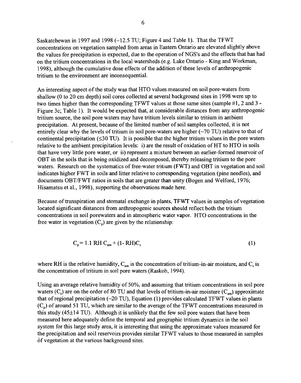Saskatchewan in 1997 and 1998 ( $\sim$ 12.5 TU; Figure 4 and Table 1). That the TFWT concentrations on vegetation sampled from areas in Eastern Ontario are elevated slightly above the values for precipitation is expected, due to the operation of NGS's and the effects that has had on the tritium concentrations in the local watersheds (e.g. Lake Ontario - King and Workman, 1998), although the cumulative dose effects of the addition of these levels of anthropogenic tritium to the environment are inconsequential.

An interesting aspect of the study was that HTO values measured on soil pore-waters from shallow (0 to 20 cm depth) soil cores collected at several background sites in 1998 were up to two times higher than the corresponding TFWT values at those same sites (sample #1,2 and 3 - Figure 3c; Table 1). It would be expected that, at considerable distances from any anthropogenic tritium source, the soil pore waters may have tritium levels similar to tritium in ambient precipitation. At present, because of the limited number of soil samples collected, it is not entirely clear why the levels of tritium in soil pore-waters are higher  $(\sim 70 \text{ TU})$  relative to that of continental precipitation ( $\leq$ 30 TU). It is possible that the higher tritium values in the pore waters relative to the ambient precipitation levels: i) are the result of oxidation of HT to HTO in soils that have very little pore water, or ii) represent a mixture between an earlier-formed reservoir of OBT in the soils that is being oxidized and decomposed, thereby releasing tritium to the pore waters. Research on the systematics of free-water tritium (FWT) and OBT in vegetation and soil indicates higher FWT in soils and litter relative to corresponding vegetation (pine needles), and documents OBT/FWT ratios in soils that are greater than unity (Bogen and Welford, 1976; Hisamatsu et al., 1998), supporting the observations made here.

Because of transpiration and stomatal exchange in plants. TFWT values in samples of vegetation located significant distances from anthropogenic sources should reflect both the tritium concentrations in soil porewaters and in atmospheric water vapor. HTO concentrations in the free water in vegetation  $(C_p)$  are given by the relationship:

$$
C_p = 1.1 \text{ RH } C_{am} + (1 - \text{RH})C_s \tag{1}
$$

where RH is the relative humidity,  $C_{am}$  is the concentration of tritium-in-air moisture, and  $C_s$  is the concentration of tritium in soil pore waters (Raskob, 1994).

Using an average relative humidity of 50%, and assuming that tritium concentrations in soil pore waters  $(C_s)$  are on the order of 80 TU and that levels of tritium-in-air moisture  $(C_{am})$  approximate that of regional precipitation  $(\sim 20 \text{ TU})$ , Equation (1) provides calculated TFWT values in plants  $(C_p)$  of around 51 TU, which are similar to the average of the TFWT concentrations measured in this study  $(45\pm14 \text{ TU})$ . Although it is unlikely that the few soil pore waters that have been measured here adequately define the temporal and geographic tritium dynamics in the soil system for this large study area, it is interesting that using the approximate values measured for the precipitation and soil reservoirs provides similar TFWT values to those measured in samples of vegetation at the various background sites.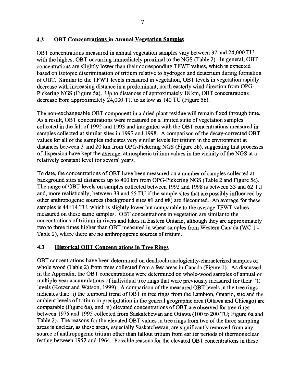## **4.2 OBT Concentrations in Annual Vegetation Samples**

OBT concentrations measured in annual vegetation samples vary between 37 and 24,000 TU with the highest OBT occurring immediately proximal to the NGS (Table 2). In general, OBT concentrations are slightly lower than their corresponding TFWT values, which is expected based on isotopic discrimination of tritium relative to hydrogen and deuterium during formation of OBT. Similar to the TFWT levels measured in vegetation, OBT levels in vegetation rapidly decrease with increasing distance in a predominant, north easterly wind direction from OPG-Pickering NGS (Figure 5a). Up to distances of approximately 18 km, OBT concentrations decrease from approximately 24,000 TU to as low as 140 TU (Figure 5b).

The non-exchangeable OBT component in a dried plant residue will remain fixed through time. As a result, OBT concentrations were measured on a limited suite of vegetation samples collected in the fall of 1992 and 1993 and integrated with the OBT concentrations measured in samples collected at similar sites in 1997 and 1998. A comparison of the decay-corrected OBT values for all of the samples indicates very similar levels for tritium in the environment at distances between 3 and 20 km from OPG-Pickering NGS (Figure 5b), suggesting that processes of dispersion have kept the average, atmospheric tritium values in the vicinity of the NGS at a relatively constant level for several years.

To date, the concentrations of OBT have been measured on a number of samples collected at background sites at distances up to 400 km from OPG-Pickering NGS (Table 2 and Figure 5c). The range of OBT levels on samples collected between 1992 and 1998 is between 33 and 62 TU and, more realistically, between 33 and 55 TU if the sample sites that are possibly influenced by other anthropogenic sources (background sites #1 and #8) are discounted. An average for these samples is 44±14 TU, which is slightly lower but comparable to the average TFWT values measured on these same samples. OBT concentrations in vegetation are similar to the concentrations of tritium in rivers and lakes in Eastern Ontario, although they are approximately two to three times higher than OBT measured in wheat samples from Western Canada (WC 1 - Table 2), where there are no anthropogenic sources of tritium.

### **4.3 Historical OBT Concentrations in Tree Rings**

OBT concentrations have been determined on dendrochronologically-characterized samples of whole wood (Table 2) from trees collected from a few areas in Canada (Figure 1). As discussed in the Appendix, the OBT concentrations were determined on whole-wood samples of annual or multiple-year accumulations of individual tree rings that were previously measured for their <sup>14</sup>C levels (Kotzer and Watson, 1999). A comparison of the measured OBT levels in the tree rings indicates that: i) the temporal trend of OBT in tree rings from the Lambton, Ontario, site and the ambient levels of tritium in precipitation in the general geographic area (Ottawa and Chicago) are comparable (Figure 6a), and ii) elevated concentrations of OBT are observed for tree rings between 1975 and 1995 collected from Saskatchewan and Ottawa (100 to 200 TU; Figure 6a and Table 2). The reasons for the elevated OBT values in tree rings from two of the three sampling areas is unclear, as these areas, especially Saskatchewan, are significantly removed from any source of anthropogenic tritium other than fallout tritium from earlier periods of thermonuclear testing between 1952 and 1964. Possible reasons for the elevated OBT concentrations in these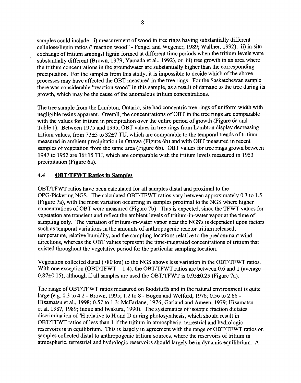samples could include: i) measurement of wood in tree rings having substantially different cellulose/lignin ratios ("reaction wood" - Fengel and Wegener, 1989; Wallner, 1992), ii) in-situ exchange of tritium amongst lignin formed at different time periods when the tritium levels were substantially different (Brown, 1979; Yamada et al., 1992), or iii) tree growth in an area where the tritium concentrations in the groundwater are substantially higher than the corresponding precipitation. For the samples from this study, it is impossible to decide which of the above processes may have affected the OBT measured in the tree rings. For the Saskatchewan sample there was considerable "reaction wood" in this sample, as a result of damage to the tree during its growth, which may be the cause of the anomalous tritium concentrations.

The free sample from the Lambton, Ontario, site had concentric free rings of uniform width with negligible resins apparent. Overall, the concentrations of OBT in the free rings are comparable with the values for tritium in precipitation over the entire period of growth (Figure 6a and Table 1). Between 1975 and 1995, OBT values in tree rings from Lambton display decreasing tritium values, from 73±5 to 32±7 TU, which are comparable to the temporal trends of tritium measured in ambient precipitation in Ottawa (Figure 6b) and with OBT measured in recent samples of vegetation from the same area (Figure 6b). OBT values for tree rings grown between 1947 to 1952 are 36±15 TU, which are comparable with the tritium levels measured in 1953 precipitation (Figure 6a).

### **4.4 OBT/TFWT Ratios in Samples**

OBT/TFWT ratios have been calculated for all samples distal and proximal to the OPG-Pickering NGS. The calculated OBT/TFWT ratios vary between approximately 0.3 to 1.5 (Figure 7a), with the most variation occurring in samples proximal to the NGS where higher concentrations of OBT were measured (Figure 7b). This is expected, since the TFWT values for vegetation are transient and reflect the ambient levels of tritium-in-water vapor at the time of sampling only. The variation of tritium-in-water vapor near the NGS's is dependent upon factors such as temporal variations in the amounts of anthropogenic reactor tritium released, temperature, relative humidity, and the sampling locations relative to the predominant wind directions, whereas the OBT values represent the time-integrated concentrations of tritium that existed throughout the vegetative period for the particular sampling location.

Vegetation collected distal (>80 km) to the NGS shows less variation in the OBT/TFWT ratios. With one exception (OBT/TFWT = 1.4), the OBT/TFWT ratios are between 0.6 and 1 (average = 0.87±0.15), although if all samples are used the OBT/TFWT is 0.95±0.25 (Figure 7a).

The range of OBT/TFWT ratios measured on foodstuffs and in the natural environment is quite large (e.g. 0.3 to 4.2 - Brown, 1995; 1.2 to 8 - Bogen and Welford, 1976; 0.56 to 2.68 - Hisamatsu et al., 1998; 0.57 to 1.3; McFarlane, 1976; Garland and Ameen, 1979; Hisamatsu et al. 1987, 1989; Inoue and Iwakura, 1990). The systematics of isotopic fraction dictates discrimination of <sup>3</sup>H relative to H and D during photosynthesis, which should result in OBT/TFWT ratios of less than 1 if the tritium in atmospheric, terrestrial and hydrologic reservoirs is in equilibrium. This is largely in agreement with the range of OBT/TFWT ratios on samples collected distal to anthropogenic tritium sources, where the reservoirs of tritium in atmospheric, terrestrial and hydrologic reservoirs should largely be in dynamic equilibrium. A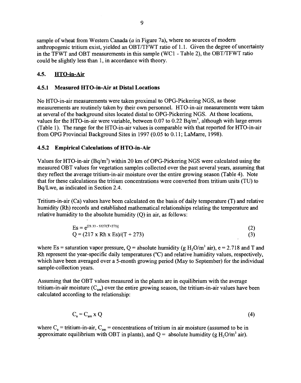sample of wheat from Western Canada *(a* in Figure 7a), where no sources of modern anthropogenic tritium exist, yielded an OBT/TFWT ratio of 1.1. Given the degree of uncertainty in the TFWT and OBT measurements in this sample (WC1 - Table 2), the OBT/TFWT ratio could be slightly less than 1, in accordance with theory.

#### **4.5. HTO-in-Air**

#### **4.5.1 Measured HTO-in-Air at Distal Locations**

No HTO-in-air measurements were taken proximal to OPG-Pickering NGS, as those measurements are routinely taken by their own personnel. HTO-in-air measurements were taken at several of the background sites located distal to OPG-Pickering NGS. At those locations, values for the HTO-in-air were variable, between 0.07 to 0.22  $Bq/m<sup>3</sup>$ , although with large errors (Table 1). The range for the HTO-in-air values is comparable with that reported for HTO-in-air from OPG Provincial Background Sites in 1997 (0.05 to 0.11; LaMarre, 1998).

#### **4.5.2 Empirical Calculations of HTO-in-Air**

Values for HTO-in-air (Bq/m<sup>3</sup>) within 20 km of OPG-Pickering NGS were calculated using the measured OBT values for vegetation samples collected over the past several years, assuming that they reflect the average tritium-in-air moisture over the entire growing season (Table 4). Note that for these calculations the tritium concentrations were converted from tritium units (TU) to Bq/Lwe, as indicated in Section 2.4.

Tritium-in-air (Ca) values have been calculated on the basis of daily temperature (T) and relative humidity (Rh) records and established mathematical relationships relating the temperature and relative humidity to the absolute humidity (Q) in air, as follows:

$$
Es = e^{[21.33 - 5327/(T + 273)]}
$$
  
Q = (217 x Rh x Es)/(T + 273) (3)

where Es = saturation vapor pressure, Q = absolute humidity (g  $H_2O/m^3$  air), e = 2.718 and T and Rh represent the year-specific daily temperatures (°C) and relative humidity values, respectively, which have been averaged over a 5-month growing period (May to September) for the individual sample-collection years.

Assuming that the OBT values measured in the plants are in equilibrium with the average tritium-in-air moisture  $(C_{am})$  over the entire growing season, the tritium-in-air values have been calculated according to the relationship:

$$
C_{a} = C_{am} x Q \tag{4}
$$

where  $C_a$  = tritium-in-air,  $C_{am}$  = concentrations of tritium in air moisture (assumed to be in approximate equilibrium with OBT in plants), and  $Q =$  absolute humidity (g  $H_2O/m^3$  air).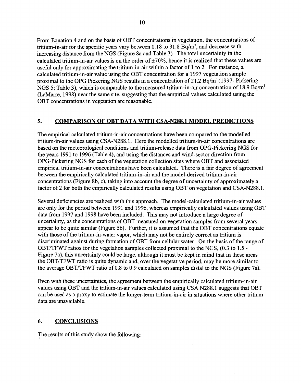10

From Equation 4 and on the basis of OBT concentrations in vegetation, the concentrations of tritium-in-air for the specific years vary between 0.18 to 31.8  $Bq/m<sup>3</sup>$ , and decrease with increasing distance from the NGS (Figure 8a and Table 3). The total uncertainty in the calculated tritium-in-air values is on the order of  $\pm 70\%$ , hence it is realized that these values are useful only for approximating the tritium-in-air within a factor of 1 to 2. For instance, a calculated tritium-in-air value using the OBT concentration for a 1997 vegetation sample proximal to the OPG Pickering NGS results in a concentration of 21.2 Bq/m<sup>3</sup> (1997- Pickering NGS 5; Table 3), which is comparable to the measured tritium-in-air concentration of 18.9 Bq/m<sup>3</sup> (LaMarre, 1998) near the same site, suggesting that the empirical values calculated using the OBT concentrations in vegetation are reasonable.

# **5. COMPARISON OF OBT DATA WITH CSA-N288.1 MODEL PREDICTIONS**

The empirical calculated tritium-in-air concentrations have been compared to the modelled tritium-in-air values using CSA-N288.1. Here the modelled tritium-in-air concentrations are based on the meteorological conditions and tritium-release data from OPG-Pickering NGS for the years 1991 to 1996 (Table 4), and using the distances and wind-sector direction from OPG-Pickering NGS for each of the vegetation collection sites where OBT and associated empirical tritium-in-air concentrations have been calculated. There is a fair degree of agreement between the empirically calculated tritium-in-air and the model-derived tritium-in-air concentrations (Figure 8b, c), taking into account the degree of uncertainty of approximately a factor of 2 for both the empirically calculated results using OBT on vegetation and CSA-N288.1.

Several deficiencies are realized with this approach. The model-calculated tritium-in-air values are only for the period between 1991 and 1996, whereas empirically calculated values using OBT data from 1997 and 1998 have been included. This may not introduce a large degree of uncertainty, as the concentrations of OBT measured on vegetation samples from several years appear to be quite similar (Figure 5b). Further, it is assumed that the OBT concentrations equate with those of the tritium-in-water vapor, which may not be entirely correct as tritium is discriminated against during formation of OBT from cellular water. On the basis of the range of OBT/TFWT ratios for the vegetation samples collected proximal to the NGS, (0.3 to 1.5 - Figure 7a), this uncertainty could be large, although it must be kept in mind that in these areas the OBT/TFWT ratio is quite dynamic and, over the vegetative period, may be more similar to the average OBT/TFWT ratio of 0.8 to 0.9 calculated on samples distal to the NGS (Figure 7a).

Even with these uncertainties, the agreement between the empirically calculated tritium-in-air values using OBT and the tritium-in-air values calculated using CSA N288.1 suggests that OBT can be used as a proxy to estimate the longer-term tritium-in-air in situations where other tritium data are unavailable.

# **6. CONCLUSIONS**

The results of this study show the following: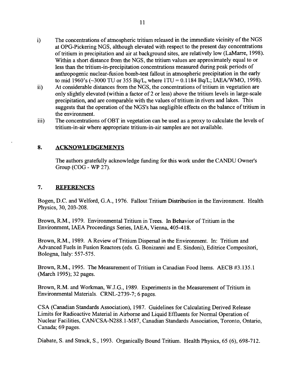- i) The concentrations of atmospheric tritium released in the immediate vicinity of the NGS at OPG-Pickering NGS, although elevated with respect to the present day concentrations of tritium in precipitation and air at background sites, are relatively low (LaMarre, 1998). Within a short distance from the NGS, the tritium values are approximately equal to or less than the tritium-in-precipitation concentrations measured during peak periods of anthropogenic nuclear-fusion bomb-test fallout in atmospheric precipitation in the early to mid 1960's (~3000 TU or 355 Bq/L, where  $1TU = 0.1184 Bq/L$ ; IAEA/WMO, 1998).
- ii) At considerable distances from the NGS, the concentrations of tritium in vegetation are only slightly elevated (within a factor of 2 or less) above the tritium levels in large-scale precipitation, and are comparable with the values of tritium in rivers and lakes. This suggests that the operation of the NGS's has negligible effects on the balance of tritium in the environment.
- iii) The concentrations of OBT in vegetation can be used as a proxy to calculate the levels of tritium-in-air where appropriate tritium-in-air samples are not available.

#### **8. ACKNOWLEDGEMENTS**

The authors gratefully acknowledge funding for this work under the CANDU Owner's Group (COG - WP 27).

#### 7. **REFERENCES**

Bogen, D.C. and Welford, G.A., 1976. Fallout Tritium Distribution in the Environment. Health Physics, 30, 203-208.

Brown, R.M., 1979. Environmental Tritium in Trees. In Behavior of Tritium in the Environment, IAEA Proceedings Series, IAEA, Vienna, 405-418.

Brown, R.M., 1989. A Review of Tritium Dispersal in the Environment. In: Tritium and Advanced Fuels in Fusion Reactors (eds. G. Bonizanni and E. Sindoni), Editrice Compositori, Bologna, Italy: 557-575.

Brown, R.M., 1995. The Measurement of Tritium in Canadian Food Items. AECB #3.135.1 (March 1995); 32 pages.

Brown, R.M. and Workman, W.J.G., 1989. Experiments in the Measurement of Tritium in Environmental Materials. CRNL-2739-7; 6 pages.

CSA (Canadian Standards Association), 1987. Guidelines for Calculating Derived Release Limits for Radioactive Material in Airborne and Liquid Effluents for Normal Operation of Nuclear Facilities, CAN/CSA-N288.1-M87, Canadian Standards Association, Toronto, Ontario, Canada; 69 pages.

Diabate, S. and Strack, S., 1993. Organically Bound Tritium. Health Physics, 65 (6), 698-712.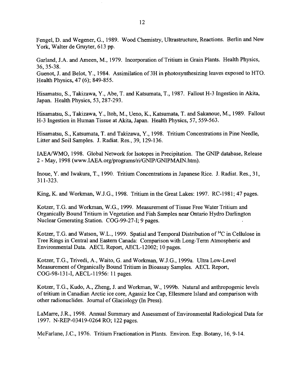Fengel, D. and Wegener, G., 1989. Wood Chemistry, Ultrastructure, Reactions. Berlin and New York, Walter de Gruyter, 613 pp.

Garland, J.A. and Ameen, M., 1979. Incorporation of Tritium in Grain Plants. Health Physics, 36, 35-38.

Guenot, J. and Belot, Y., 1984. Assimilation of 3H in photosynthesizing leaves exposed to HTO. Health Physics, 47 (6); 849-855.

Hisamatsu, S., Takizawa, Y., Abe, T. and Katsumata, T., 1987. Fallout H-3 Ingestion in Akita, Japan. Health Physics, 53, 287-293.

Hisamatsu, S., Takizawa, Y., Itoh, M., Ueno, K., Katsumata, T. and Sakanoue, M., 1989. Fallout H-3 Ingestion in Human Tissue at Akita, Japan. Health Physics, 57, 559-563.

Hisamatsu, S., Katsumata, T. and Takizawa, Y., 1998. Tritium Concentrations in Pine Needle, Litter and Soil Samples. J. Radiat. Res., 39, 129-136.

IAEA/WMO, 1998. Global Network for Isotopes in Precipitation. The GNIP database, Release 2 - May, 1998 (www.IAEA.org/programs/ri/GNIP/GNIPMAIN.htm).

Inoue, Y. and Iwakura, T., 1990. Tritium Concentrations in Japanese Rice. J. Radiat. Res., 31, 311-323.

King, K. and Workman, W.J.G., 1998. Tritium in the Great Lakes: 1997. RC-1981; 47 pages.

Kotzer, T.G. and Workman, W.G., 1999. Measurement of Tissue Free Water Tritium and Organically Bound Tritium in Vegetation and Fish Samples near Ontario Hydro Darlington Nuclear Generating Station. COG-99-27-I; 9 pages.

Kotzer, T.G. and Watson, W.L., 1999. Spatial and Temporal Distribution of <sup>14</sup>C in Cellulose in Tree Rings in Central and Eastern Canada: Comparison with Long-Term Atmospheric and Environmental Data. AECL Report, AECL-12002; 10 pages.

Kotzer, T.G., Trivedi, A., Waito, G. and Workman, W.J.G., 1999a. Ultra Low-Level Measurement of Organically Bound Tritium in Bioassay Samples. AECL Report, COG-98-131-I,AECL-11956: 11 pages.

Kotzer, T.G., Kudo, A., Zheng, J. and Workman, W., 1999b. Natural and anthropogenic levels of tritium in Canadian Arctic ice core, Agassiz Ice Cap, Ellesmere Island and comparison with other radionuclides. Journal of Glaciology (In Press).

LaMarre, J.R., 1998. Annual Summary and Assessment of Environmental Radiological Data for 1997. N-REP-03419-0264 RO; 122 pages.

McFarlane, J.C., 1976. Tritium Fractionation in Plants. Environ. Exp. Botany, 16, 9-14.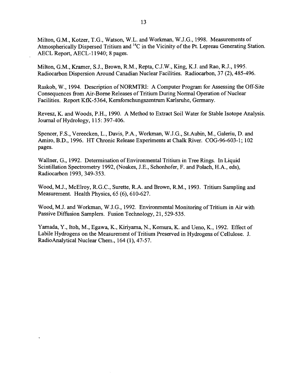Milton, G.M., Kotzer, T.G., Watson, W.L. and Workman, W.J.G., 1998. Measurements of Atmospherically Dispersed Tritium and <sup>14</sup>C in the Vicinity of the Pt. Lepreau Generating Station. AECL Report, AECL-11940; 8 pages.

Milton, G.M., Kramer, S.J., Brown, R.M., Repta, C.J.W., King, K.J. and Rao, R.J., 1995. Radiocarbon Dispersion Around Canadian Nuclear Facilities. Radiocarbon, 37 (2), 485-496.

Raskob, W., 1994. Description of NORMTRI: A Computer Program for Assessing the Off-Site Consequences from Air-Borne Releases of Tritium During Normal Operation of Nuclear Facilities. Report KfK-5364, Kernforschungszentrum Karlsruhe, Germany.

Revesz, K. and Woods, P.H., 1990. A Method to Extract Soil Water for Stable Isotope Analysis. Journal of Hydrology, 115: 397-406.

Spencer, F.S., Vereecken, L., Davis, P.A., Workman, W.J.G., St.Aubin, M., Galeriu, D. and Amiro, B.D., 1996. HT Chronic Release Experiments at Chalk River. COG-96-603-1; 102 pages.

Wallner, G., 1992. Determination of Environmental Tritium in Tree Rings. In Liquid Scintillation Spectrometry 1992, (Noakes, J.E., Schonhofer, F. and Polach, H.A., eds), Radiocarbon 1993, 349-353.

Wood, M.J., McElroy, R.G.C., Surette, R.A. and Brown, R.M., 1993. Tritium Sampling and Measurement. Health Physics, 65 (6), 610-627.

Wood, MJ. and Workman, W.J.G., 1992. Environmental Monitoring of Tritium in Air with Passive Diffusion Samplers. Fusion Technology, 21, 529-535.

Yamada, Y., Itoh, M., Egawa, K., Kiriyama, N., Komura, K. and Ueno, K., 1992. Effect of Labile Hydrogens on the Measurement of Tritium Preserved in Hydrogens of Cellulose. J. Radio Analytical Nuclear Chem., 164 (1), 47-57.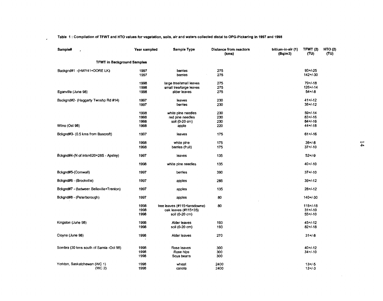| Sample#                                 | Year sampled | Sample Type                  | <b>Distance from reactors</b><br>(kms) | tritium-in-air (1)<br>(Bq/m3) | <b>TFWT (2)</b><br>(TU) | <b>HTO (2)</b><br>(TU) |
|-----------------------------------------|--------------|------------------------------|----------------------------------------|-------------------------------|-------------------------|------------------------|
| <b>TFWT in Background Samples</b>       |              |                              |                                        |                               |                         |                        |
| Backgnd#1 -(HWY41+DORE LK)              | 1997         | berries                      | 275                                    |                               | $93 + 1.25$             |                        |
|                                         | 1997         | berries                      | 275                                    |                               | $142 + 1.30$            |                        |
|                                         | 1998         | large tree/small leaves      | 275                                    |                               | $79 + 148$              |                        |
|                                         | 1998         | small tree/large leaves      | 275                                    |                               | $126 + 14$              |                        |
| Eganville (June 98)                     | 1998         | alder leaves                 | 275                                    |                               | $54 + 1 - 8$            |                        |
| Backgnd#2- (Haggarty Twnshp Rd #14)     | 1997         | leaves                       | 230                                    |                               | $41 + 1 - 12$           |                        |
|                                         | 1997         | berries                      | 230                                    |                               | $38 + 1 - 12$           |                        |
|                                         |              |                              |                                        |                               | $59+/-14$               |                        |
|                                         | 1998         | white pine needles           | 230                                    |                               |                         |                        |
|                                         | 1998         | red pine needles             | 230                                    |                               | $83 + 16$               |                        |
|                                         | 1998         | soil (0-20 cm)               | 230                                    |                               | $84 + 16$               |                        |
| Wilno (Oct 98)                          | 1998         | apple                        | 220                                    |                               | $44 + 18$               |                        |
| Bckgnd#3- (0.5 kms from Bancroft)       | 1997         | leaves                       | 175                                    |                               | $61 + 16$               |                        |
|                                         | 1998         | white pine                   | 175                                    |                               | $36 + 1 - 8$            |                        |
|                                         | 1998         | berries (fruit)              | 175                                    |                               | $37 + 110$              |                        |
| Bckgnd#4-(N of intxn620+28S - Apsley)   | 1997         | leaves                       | 135                                    |                               | $52 + 1 - 9$            |                        |
|                                         | 1998         | white pine needles           | 135                                    |                               | 40+/-10                 |                        |
| Bckgnd#5-(Cornwall)                     | 1997         | bemes                        | 390                                    |                               | $37 + 1 - 10$           |                        |
| Bckgnd#6 - (Brockville)                 | 1997         | apples                       | 285                                    |                               | $39 + 1 - 12$           |                        |
| Bckgnd#7 - (between Belleville+Trenton) | 1997         | apples                       | 135                                    |                               | $28 + 1 - 12$           |                        |
| Bckgnd#8 - (Peterborough)               | 1997         | apples                       | 80                                     |                               | $140 + 1 - 30$          |                        |
|                                         | 1998         | tree leaves (#115+lansdowne) | 80                                     |                               | $115 + 118$             |                        |
|                                         | 1998         | oak leaves (#115+35)         |                                        |                               | $31 + 1.10$             |                        |
|                                         | 1998         | soil (0-20 cm)               |                                        |                               | $55+/-10$               |                        |
| Kingston (June 98)                      | 1998         | Alder leaves                 | 193                                    |                               | $45+/-12$               |                        |
|                                         | 1998         | soil (0-20 cm)               | 193                                    |                               | $82 + 1.18$             |                        |
| Cloyne (June 98)                        | 1998         | Alder leaves                 | 270                                    |                               | $31 + 1 - 8$            |                        |
|                                         |              |                              |                                        |                               |                         |                        |
| Sombra (30 kms south of Sarnia -Oct 98) | 1998         | Rose leaves                  | 300                                    |                               | $40 + 1 - 12$           |                        |
|                                         | 1998         | Rose hips                    | 300                                    |                               | $34 + 10$               |                        |
|                                         | 1998         | Soya beans                   | 300                                    |                               |                         |                        |
| Yorkton, Saskatchewan (WC 1)            | 1998         | wheat                        | 2400                                   |                               | $13 + (-5)$             |                        |
| (WC 2)                                  | 1998         | canola                       | 2400                                   |                               | $13 + 1 - 3$            |                        |

Table 1 : Compilation of **TFWT** and **HTO** values for vegetation, soils, air and waters collected distal **to OPG-Pickerlng in 1997** and 1998

 $\overline{a}$ 

 $\sim$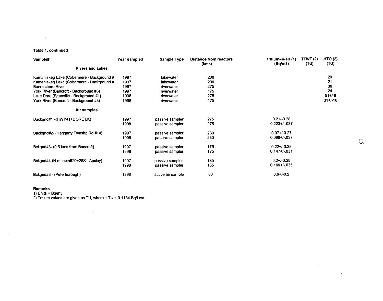#### **Table 1, continued**

 $\mathcal{A}^{\pm}$ 

| Sample#                                   | Year sampled | <b>Sample Type</b> | <b>Distance from reactors</b><br>(kms) | tritium-in-air (1)<br>(Bq/m3) | <b>TFWT (2)</b><br>(TU) | <b>HTO (2)</b><br>(TU) |
|-------------------------------------------|--------------|--------------------|----------------------------------------|-------------------------------|-------------------------|------------------------|
| <b>Rivers and Lakes</b>                   |              |                    |                                        |                               |                         |                        |
| Kamaniskeg Lake (Cobermere - Background # | 1997         | lakewater          | 200                                    |                               |                         | 29                     |
| Kamaniskeg Lake (Cobermere - Background # | 1997         | lakewater          | 200                                    |                               |                         | 21                     |
| <b>Bonnechere River</b>                   | 1997         | nverwater          | 275                                    |                               |                         | 36                     |
| York River (Bancroft - Background #3)     | 1997         | riverwater         | 175                                    |                               |                         | 24                     |
| Lake Dore (Eganville - Background #1)     | 1998         | nverwater          | 275                                    |                               |                         | $51 + 1 - 8$           |
| York River (Bancroft - Background #3)     | 1998         | riverwater         | 175                                    |                               |                         | $31 + 1 - 16$          |
| Air samples                               |              |                    |                                        |                               |                         |                        |
| Backgnd#1 - (HWY41+DORE LK)               | 1997         | passive sampler    | 275                                    | $0.2 + 0.28$                  |                         |                        |
|                                           | 1998         | passive sampler    | 275                                    | $0.223 + 1.037$               |                         |                        |
| Backgnd#2- (Haggarty Twnshp Rd #14)       | 1997         | passive sampler    | 230                                    | $0.07 + 0.27$                 |                         |                        |
|                                           | 1998         | passive sampler    | 230                                    | $0.098 + / -037$              |                         |                        |
| Bckgnd#3- (0.5 kms from Bancroft)         | 1997         | passive sampler    | 175                                    | $0.22 + 0.28$                 |                         |                        |
|                                           | 1998         | passive sampler    | 175                                    | $0.147 + 0.031$               |                         |                        |
| Bckgnd#4-(N of intxn620+28S - Apsley)     | 1997         | passive sampler    | 135                                    | $0.2 + 0.28$                  |                         |                        |
|                                           | 1998         | passive sampler    | 135                                    | $0.166 + / -0.35$             |                         |                        |
| Bckgnd#8 - (Peterborough)                 | 1998         | active air sample  | 80                                     | $0.9 + / -0.2$                |                         |                        |

#### **Remarks**

 $\sim$ 

1) Units = Bq/m3

 $\label{eq:2.1} \frac{1}{\sqrt{2}}\int_{\mathbb{R}^3}\frac{1}{\sqrt{2}}\left(\frac{1}{\sqrt{2}}\right)^2\frac{1}{\sqrt{2}}\left(\frac{1}{\sqrt{2}}\right)^2\frac{1}{\sqrt{2}}\left(\frac{1}{\sqrt{2}}\right)^2\frac{1}{\sqrt{2}}\left(\frac{1}{\sqrt{2}}\right)^2.$ 

2) Tritium values are given as TU, where 1 TU = 0.1184 Bq/Lwe

 $\sim 100$ 

 $\label{eq:2} \frac{1}{\sqrt{2}}\sum_{i=1}^n\frac{1}{\sqrt{2}}\sum_{i=1}^n\frac{1}{\sqrt{2}}\sum_{i=1}^n\frac{1}{\sqrt{2}}\sum_{i=1}^n\frac{1}{\sqrt{2}}\sum_{i=1}^n\frac{1}{\sqrt{2}}\sum_{i=1}^n\frac{1}{\sqrt{2}}\sum_{i=1}^n\frac{1}{\sqrt{2}}\sum_{i=1}^n\frac{1}{\sqrt{2}}\sum_{i=1}^n\frac{1}{\sqrt{2}}\sum_{i=1}^n\frac{1}{\sqrt{2}}\sum_{i=1}^n\frac{1$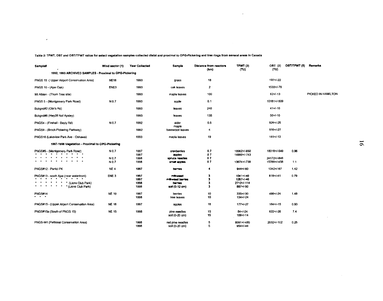| Sample#                                                 | Wind sector (1)  | Year Collected | Sample                   | <b>Distance from reactors</b><br>(km) | TFWT $(2)$<br>(TU) | OBT (2)<br>(TU) | OBT/TFWT (5) | Remarks            |  |
|---------------------------------------------------------|------------------|----------------|--------------------------|---------------------------------------|--------------------|-----------------|--------------|--------------------|--|
| 1992, 1993 ARCHIVED SAMPLES - Proximal to OPG-Pickering |                  |                |                          |                                       |                    |                 |              |                    |  |
| PNGS 15 -(Upper Airport Conservation Area)              | <b>NE18</b>      | 1993           | grass                    | 18                                    |                    | $197+/-22$      |              |                    |  |
| PNGS 10 - (Ajax Oak)                                    | ENE3             | 1993           | oak leaves               | 2                                     |                    | 1533+/-76       |              |                    |  |
| Mt Albian - (Thorn Tree site)                           |                  | 1993           | maple leaves             | 100                                   |                    | $62+/-13$       |              | PICKED IN HAMILTON |  |
| PNGS 5 - (Montgomery Park Road)                         | N 0.7            | 1993           | apple                    | 0.1                                   |                    | 10181+/-509     |              |                    |  |
| Bckgnd#2 (Olin's Rd)                                    |                  | 1993           | leaves                   | 240                                   |                    | $41 + 1 - 10$   |              |                    |  |
| Bckgnd#6 (Hwy28 Nol Apsley)                             |                  | 1993           | leaves                   | 135                                   |                    | $50 + 1 - 10$   |              |                    |  |
| PNGS4 - (Firehall - Bayly Rd)                           | N 0.7            | 1992           | alder                    | 0.5                                   |                    | $524 + 25$      |              |                    |  |
| PNGS9 - (Brock-Pickering Parkway)                       |                  | 1992           | maple<br>basswood leaves | 4                                     |                    | $516 + 27$      |              |                    |  |
| PNGS16 (Lakeview Park Ave - Oshawa)                     |                  | 1993           | maple leaves             | 19                                    |                    | $141 + 1.13$    |              |                    |  |
| 1997-1998 Vegetation - Proximal to OPG-Pickering        |                  |                |                          |                                       |                    |                 |              |                    |  |
| PNGS#5 - (Montgomery Park Road)                         | N 0.7            | 1997           | cranberries              | 0.7                                   | 18962+/-850        | 18315+/-549     | 0.96         |                    |  |
|                                                         |                  | 1997           | apples                   | 07                                    | 14860+/-743        |                 |              |                    |  |
|                                                         | N 0.7            | 1998           | spruce needles           | 07                                    |                    | 24172+/-846     |              |                    |  |
|                                                         | N 0.7            | 1998           | smail apples             | 07                                    | 13674+/-738        | 15789+/-458     | 1.1          |                    |  |
| PNGS#12 - Particl PK                                    | NE <sub>4</sub>  | 1997           | <b>Domes</b>             | 4                                     | 944+/-60           | $1342 + 67$     | 1.42         |                    |  |
| PNGS#13 - south Ajax (near waterfront)                  | ENE <sub>3</sub> | 1997           | mikweed                  | з                                     | $1041+140$         | $818 + 1 - 41$  | 0.79         |                    |  |
|                                                         |                  | 1997           | milliweed berries        | з                                     | $1287 + 1 - 40$    |                 |              |                    |  |
| . .<br>(Lions Club Park)                                |                  | 1998           | <b>berries</b>           | з                                     | 2712+/-114         |                 |              |                    |  |
| * (Lions Club Park)                                     |                  | 1998           | soil (0-12 cm)           | з                                     | 887+/-50           |                 |              |                    |  |
|                                                         | <b>NE 10</b>     | 1997           |                          | 10                                    | $335 + 1.30$       | 498+/-24        | 1.49         |                    |  |
| PNGS#14<br>.                                            |                  |                | bemes                    | 10                                    | $134 + 1.24$       |                 |              |                    |  |
|                                                         |                  | 1998           | tree leaves              |                                       |                    |                 |              |                    |  |
| PNGS#15 - (Upper Airport Conservation Area)             | <b>NE 18</b>     | 1997           | apples                   | 18                                    | $177 + 1 - 27$     | $164 + 15$      | 0.93         |                    |  |
| PNGS#15a (South of PNGS 15)                             | <b>NE 15</b>     | 1998           | pine needles             | 15                                    | $84 + 24$          | $622 + 1 - 28$  | 7.4          |                    |  |
|                                                         |                  |                | soil (0-20 cm)           | 15                                    | $109 + 14$         |                 |              |                    |  |
|                                                         |                  |                |                          |                                       |                    |                 |              |                    |  |
| PNGS-W1 (Petticoat Conservation Area)                   |                  | 1998           | red pine needles         | 5                                     | 8091+/-485         | 2032+/-102      | 0.25         |                    |  |
|                                                         |                  | 1998           | soil (0-20 cm)           | 5                                     | $954 + 144$        |                 |              |                    |  |

 $\sim$ 

**Table 2: TFWT, OBT and OBTYTFWT ratios for select vegetation samples collected distal and proximal to OPG-Pickering and tree rings from several araas In Canada**

 $\mathcal{L}(\mathbf{z})$  and  $\mathcal{L}(\mathbf{z})$  . The set of  $\mathcal{L}(\mathbf{z})$ 

 $\sim$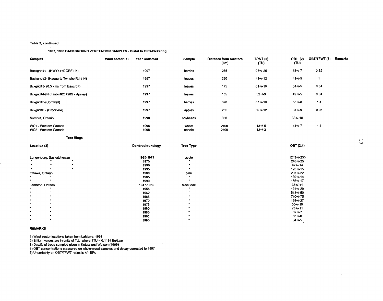#### **Table 2, continued**

#### **1997,1998 BACKGROUND VEGETATION SAMPLES - Distal to OPG-Plckering**

| Sample#                                      | Wind sector (1) | <b>Year Collected</b> | <b>Sample</b>    | <b>Distance from reactors</b><br>(km) | TFWT <sub>(2)</sub><br>(TU) | OBT (2)<br>(TU)                        | OBT/TFWT (5) | Remarks |
|----------------------------------------------|-----------------|-----------------------|------------------|---------------------------------------|-----------------------------|----------------------------------------|--------------|---------|
| Backgnd#1 -(HWY41+DORE LK)                   |                 | 1997                  | berries          | 275                                   | $93 + 25$                   | $58 + 1 - 7$                           | 0.62         |         |
| Backgnd#2- (Haggarty Twnshp Rd #14)          |                 | 1997                  | leaves           | 230                                   | $41 + 1 - 12$               | $41 + 1 - 5$                           | $\mathbf{1}$ |         |
| Bckgnd#3- (0.5 kms from Bancroft)            |                 | 1997                  | leaves           | 175                                   | $61 + 1.16$                 | $51 + 1.5$                             | 0.84         |         |
| Bckgnd#4-(N of intxn620+28S - Apsley)        |                 | 1997                  | leaves           | 135                                   | $52 + 1 - 9$                | $49 + 1.5$                             | 0.94         |         |
| Bckgnd#5-(Cornwall)                          |                 | 1997                  | berries          | 390                                   | $37 + 1 - 10$               | $55+/-8$                               | 1.4          |         |
| Bckgnd#6 - (Brockville)                      |                 | 1997                  | apples           | 285                                   | $39+/-12$                   | $37 + 1 - 9$                           | 0.95         |         |
| Sombra, Ontario                              |                 | 1998                  | soybeans         | 300                                   |                             | $33+/10$                               |              |         |
| WC1 - Western Canada<br>WC2 - Western Canada |                 | 1998<br>1998          | wheat<br>canola  | 2400<br>2400                          | $13 + 1 - 5$<br>$13 + 1.3$  | $14 + 1 - 7$                           | 1.1          |         |
| <b>Tree Rings</b>                            |                 |                       |                  |                                       |                             |                                        |              |         |
| Location (3)                                 |                 | Dendrochronology      | <b>Tree Type</b> |                                       |                             | OBT (2,4)                              |              |         |
| Langenburg, Saskatchewan                     |                 | 1965-1971<br>1975     | apple            |                                       |                             | 1243+/-250<br>$246+/-25$               |              |         |
|                                              |                 | 1990<br>1995          |                  |                                       |                             | $92 + 1 - 14$<br>$123 + 1.15$          |              |         |
| Ottawa, Ontario                              |                 | 1980<br>1985<br>1990  | pine             |                                       |                             | $205+/-22$<br>$139 + 14$<br>$156 + 17$ |              |         |
| Lambton, Ontario                             |                 | 1947-1952             | black oak        |                                       |                             | $36 + 1 - 11$                          |              |         |
|                                              |                 | 1958<br>1962          |                  |                                       |                             | 194+/-29<br>$513 + 1.50$               |              |         |
|                                              |                 | 1965                  |                  |                                       |                             | 710+/-75                               |              |         |
|                                              |                 | 1970                  |                  |                                       |                             | 169+/-27                               |              |         |
| ٠                                            |                 | 1975                  |                  |                                       |                             | $55+/-10$                              |              |         |

#### **REMARKS**

1) Wind sector locations taken from LaMarre, 1998

2) Tritium values are in units of TU, where 1TU = 0.1184 Bq/Lwe

3) Details of trees sampled given in Kotzer and Watson (1999)

4) OBT concentrations measured on whole-wood samples and decay-corrected to 1997

5) Uncertainty on OBT/TFWT ratios is +/- 15%

73+/-11 32+/-7 33+/-6 34+/-5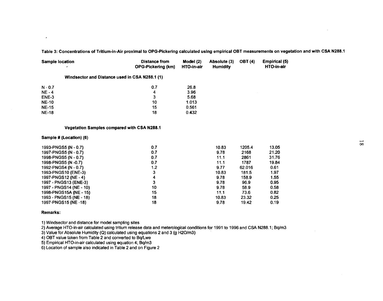**Table 3: Concentrations of Tritium-in-Air proximal to OPG-Pickering calculated using empirical OBT measurements on vegetation and with CSA N288.1**

| Sample location<br>٠                           | Distance from<br><b>OPG-Pickering (km)</b> | Model (2)<br><b>HTO-in-air</b> | Absolute (3)<br><b>Humidity</b> | <b>OBT</b> (4) | <b>Empirical (5)</b><br>HTO-in-air |
|------------------------------------------------|--------------------------------------------|--------------------------------|---------------------------------|----------------|------------------------------------|
| Windsector and Distance used in CSA N288.1 (1) |                                            |                                |                                 |                |                                    |
| $N - 0.7$                                      | 0.7                                        | 26.8                           |                                 |                |                                    |
| $NE - 4$                                       | 4                                          | 3.96                           |                                 |                |                                    |
| ENE-3                                          | 3                                          | 5.68                           |                                 |                |                                    |
| <b>NE-10</b>                                   | 10                                         | 1.013                          |                                 |                |                                    |
| <b>NE-15</b>                                   | 15                                         | 0.561                          |                                 |                |                                    |
| <b>NE-18</b>                                   | 18                                         | 0.432                          |                                 |                |                                    |

#### **Vegetation Samples compared with CSA N288.1**

#### **Sample # (Location) (6)**

 $\mathcal{L}$ 

| 1993-PNGS5 (N - 0.7)    | 0.7 | 10.83 | 1205.4 | 13.05 |
|-------------------------|-----|-------|--------|-------|
| 1997-PNGS5 (N - 0.7)    | 0.7 | 9.78  | 2168   | 21.20 |
| 1998-PNGS5 (N - 0.7)    | 0.7 | 11.1  | 2861   | 31.76 |
| 1998-PNGS5 (N -0.7)     | 0.7 | 11.1  | 1787   | 19.84 |
| 1992-PNGS4 (N - 0.7)    | 1.2 | 9.77  | 62.016 | 0.61  |
| 1993-PNGS10 (ENE-3)     | 3   | 10.83 | 181.5  | 1.97  |
| 1997-PNGS12 (NE - 4)    | 4   | 9.78  | 158.9  | 1.55  |
| 1997 - PNGS13 (ENE-3)   |     | 9.78  | 96.9   | 0.95  |
| 1997 - PNGS14 (NE - 10) | 10  | 9.78  | 58.9   | 0.58  |
| 1998-PNGS15A (NE - 15)  | 15  | 11.1  | 73.6   | 0.82  |
| 1993 - PNGS15 (NE - 18) | 18  | 10.83 | 23.32  | 0.25  |
| 1997-PNGS15 (NE -18)    | 18  | 9.78  | 19.42  | 0.19  |

#### **Remarks:**

1) Windsector and distance for model sampling sites

2) Average HTO-in-air calculated using tritium release data and meteroiogicai conditions for 1991 to 1996 and CSA N288.1; Bq/m3

3) Value for Absolute Humidity (Q) calculated using equations 2 and 3 (g H2O/m3)

4) OBT value taken from Table 2 and converted to Bq/Lwe

5) Empirical HTO-in-air calculated using equation 4; Bq/m3

6) Location of sample also indicated in Table 2 and on Figure 2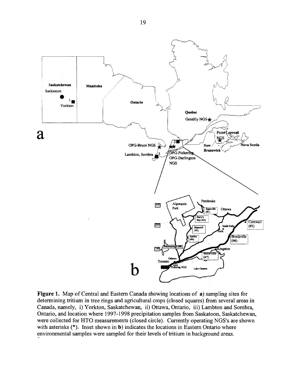

**Figure 1.** Map of Central and Eastern Canada showing locations of a) sampling sites for determining tritium in tree rings and agricultural crops (closed squares) from several areas in Canada, namely, i) Yorkton, Saskatchewan, ii) Ottawa, Ontario, iii) Lambton and Sombra, Ontario, and location where 1997-1998 precipitation samples from Saskatoon, Saskatchewan, were collected for HTO measurements (closed circle). Currently operating NGS's are shown with asterisks (\*). Inset shown in b) indicates the locations in Eastern Ontario where environmental samples were sampled for their levels of tritium in background areas.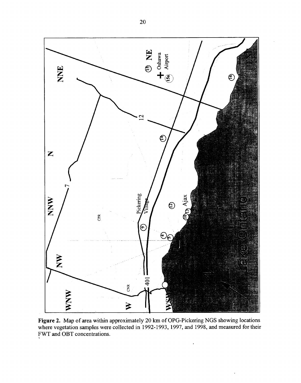

**Figure 2.** Map of area within approximately 20 km of OPG-Pickering NGS showing locations where vegetation samples were collected in 1992-1993, 1997, and 1998, and measured for their FWT and OBT concentrations.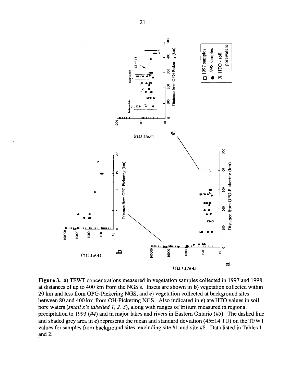

**Figure 3. a)** TFWT concentrations measured in vegetation samples collected in 1997 and 1998 at distances of up to 400 km from the NGS's. Insets are shown in b) vegetation collected within 20 km and less from OPG-Pickering NGS, and c) vegetation collected at background sites between 80 and 400 km from OH-Pickering NGS. Also indicated in c) are HTO values in soil pore waters *{small x's labelled 1, 2, 3),* along with ranges of tritium measured in regional precipitation to 1993 *(#4)* and in major lakes and rivers in Eastern Ontario *(#5).* The dashed line and shaded grey area in c) represents the mean and standard deviation  $(45\pm14 \text{ TU})$  on the TFWT values for samples from background sites, excluding site #1 and site #8. Data listed in Tables 1 and 2.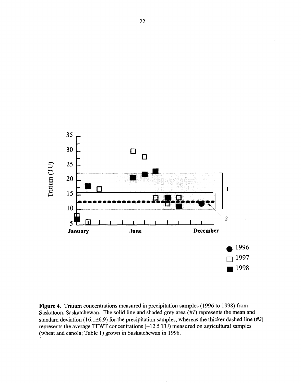

**Figure 4.** Tritium concentrations measured in precipitation samples (1996 to 1998) from Saskatoon, Saskatchewan. The solid line and shaded grey area (#7) represents the mean and standard deviation (16.1±6.9) for the precipitation samples, whereas the thicker dashed line *(#2)* represents the average TFWT concentrations  $(\sim12.5 \text{ TU})$  measured on agricultural samples (wheat and canola; Table 1) grown in Saskatchewan in 1998.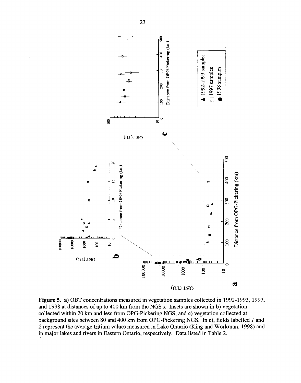

**Figure 5. a)** OBT concentrations measured in vegetation samples collected in 1992-1993, 1997, and 1998 at distances of up to 400 km from the NGS's. Insets are shown in b) vegetation collected within 20 km and less from OPG-Pickering NGS, and c) vegetation collected at background sites between 80 and 400 km from OPG-Pickering NGS. In c), fields labelled *1* and *2* represent the average tritium values measured in Lake Ontario (King and Workman, 1998) and in major lakes and rivers in Eastern Ontario, respectively. Data listed in Table 2.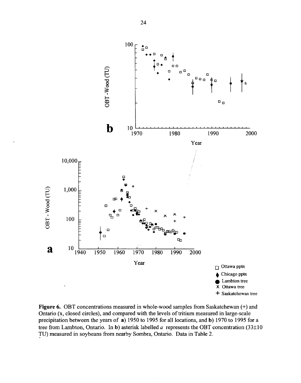

**Figure 6.** OBT concentrations measured in whole-wood samples from Saskatchewan (+) and Ontario (x, closed circles), and compared with the levels of tritium measured in large-scale precipitation between the years of a) 1950 to 1995 for all locations, and b) 1970 to 1995 for a tree from Lambton, Ontario. In b) asterisk labelled *a* represents the OBT concentration (33±10 TU) measured in soybeans from nearby Sombra, Ontario. Data in Table 2.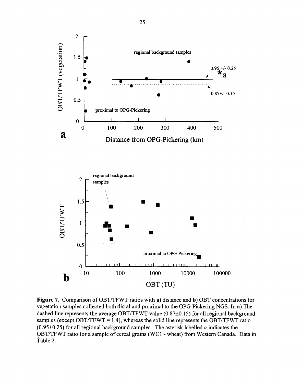

**Figure** 7. Comparison of OBT/TFWT ratios with a) distance and b) OBT concentrations for vegetation samples collected both distal and proximal to the OPG-Pickering NGS. In a) The dashed line represents the average OBT/TFWT value (0.87±0.15) for all regional background samples (except OBT/TFWT = 1.4), whereas the solid line represents the OBT/TFWT ratio (0.95±0.25) for all regional background samples. The asterisk labelled *a* indicates the OBT/TFWT ratio for a sample of cereal grains (WC1 - wheat) from Western Canada. Data in Table 2.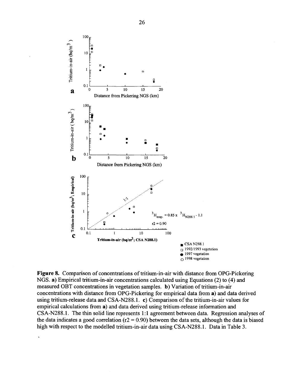

**Figure 8.** Comparison of concentrations of tritium-in-air with distance from OPG-Pickering NGS. a) Empirical tritium-in-air concentrations calculated using Equations (2) to (4) and measured OBT concentrations in vegetation samples, b) Variation of tritium-in-air concentrations with distance from OPG-Pickering for empirical data from a) and data derived using tritium-release data and CSA-N288.1. c) Comparison of the tritium-in-air values for empirical calculations from a) and data derived using tritium-release information and CSA-N288.1. The thin solid line represents 1:1 agreement between data. Regression analyses of the data indicates a good correlation ( $r2 = 0.90$ ) between the data sets, although the data is biased high with respect to the modelled tritium-in-air data using CSA-N288.1. Data in Table 3.

 $\ddot{\phantom{0}}$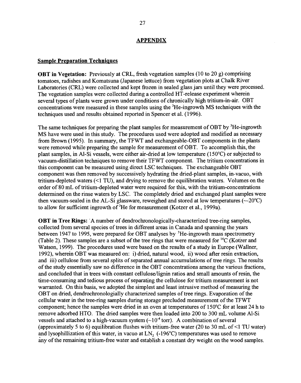#### **Sample Preparation Techniques**

**OBT in Vegetation:** Previously at CRL, fresh vegetation samples (10 to 20 g) comprising tomatoes, radishes and Komatsuna (Japanese lettuce) from vegetation plots at Chalk River Laboratories (CRL) were collected and kept frozen in sealed glass jars until they were processed. The vegetation samples were collected during a controlled HT-release experiment wherein several types of plants were grown under conditions of chronically high tritium-in-air. OBT concentrations were measured in these samples using the <sup>3</sup>He-ingrowth MS techniques with the techniques used and results obtained reported in Spencer et al. (1996).

The same techniques for preparing the plant samples for measurement of OBT by <sup>3</sup>He-ingrowth MS have were used in this study. The procedures used were adopted and modified as necessary from Brown (1995). In summary, the TFWT and exchangeable-OBT components in the plants were removed while preparing the sample for measurement of OBT. To accomplish this, the plant samples, in Al-Si vessels, were either air-dried at low temperature (150°C) or subjected to vacuum-distillation techniques to remove their TFWT component. The tritium concentrations in this component can be measured using direct LSC techniques. The exchangeable OBT component was then removed by successively hydrating the dried-plant samples, in-vacuo, with tritium-depleted waters (<1 TU), and drying to remove the equilibration waters. Volumes on the order of 80 mL of tritium-depleted water were required for this, with the tritium-concentrations determined on the rinse waters by LSC. The completely dried and exchanged plant samples were then vacuum-sealed in the AL-Si glassware, reweighed and stored at low temperatures  $(\sim 20^{\circ}C)$ to allow for sufficient ingrowth of  ${}^{3}$ He for measurement (Kotzer et al., 1999a).

**OBT in Tree Rings:** A number of dendrochronologically-characterized tree-ring samples, collected from several species of trees in different areas in Canada and spanning the years between 1947 to 1995, were prepared for OBT analyses by <sup>3</sup>He-ingrowth mass spectrometry (Table 2). These samples are a subset of the tree rings that were measured for  $^{14}C$  (Kotzer and Watson, 1999). The procedures used were based on the results of a study in Europe (Wallner, 1992), wherein OBT was measured on: i) dried, natural wood, ii) wood after resin extraction, and iii) cellulose from several splits of separated annual accumulations of tree rings. The results of the study essentially saw no difference in the OBT concentrations among the various fractions, and concluded that in trees with constant cellulose/lignin ratios and small amounts of resin, the time-consuming and tedious process of separating the cellulose for tritium measurement is not warranted. On this basis, we adopted the simplest and least intrusive method of measuring the OBT on dried, dendrochronologially characterized samples of tree rings. Evaporation of the cellular water in the tree-ring samples during storage precluded measurement of the TFWT component; hence the samples were dried in an oven at temperatures of 150°C for at least 24 h to remove adsorbed HTO. The dried samples were then loaded into 200 to 300 mL volume Al-Si vessels and attached to a high-vacuum system  $(-10<sup>4</sup>$  torr). A combination of several (approximately 5 to 6) equilibration flushes with tritium-free water (20 to 30 mL of  $\leq$ 1 TU water) and lysophillization of this water, in vacuo at LN<sub>2</sub> (-196 $^{\circ}$ C) temperatures was used to remove any of the remaining tritium-free water and establish a constant dry weight on the wood samples.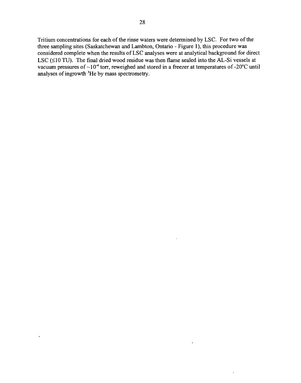Tritium concentrations for each of the rinse waters were determined by LSC. For two of the three sampling sites (Saskatchewan and Lambton, Ontario - Figure 1), this procedure was considered complete when the results of LSC analyses were at analytical background for direct LSC ( $\leq$ 10 TU). The final dried wood residue was then flame sealed into the AL-Si vessels at vacuum pressures of  $\sim$ 10<sup>-4</sup> torr, reweighed and stored in a freezer at temperatures of -20°C until analyses of ingrowth <sup>3</sup>He by mass spectrometry.

 $\bar{\mathbf{r}}$ 

 $\ddot{\phantom{0}}$